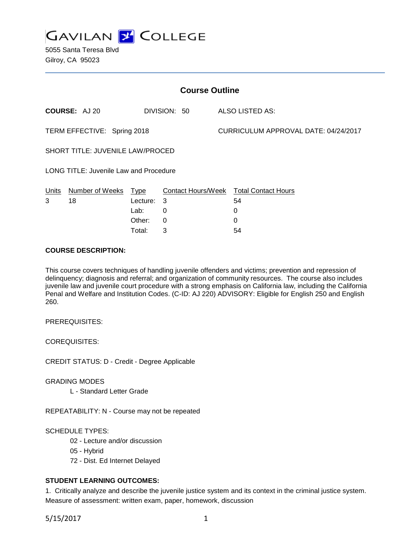

| <b>Course Outline</b>                  |                      |          |                           |  |                                      |  |
|----------------------------------------|----------------------|----------|---------------------------|--|--------------------------------------|--|
|                                        | <b>COURSE: AJ 20</b> |          | DIVISION: 50              |  | ALSO LISTED AS:                      |  |
| TERM EFFECTIVE: Spring 2018            |                      |          |                           |  | CURRICULUM APPROVAL DATE: 04/24/2017 |  |
| SHORT TITLE: JUVENILE LAW/PROCED       |                      |          |                           |  |                                      |  |
| LONG TITLE: Juvenile Law and Procedure |                      |          |                           |  |                                      |  |
| Units                                  | Number of Weeks      | Type     | <b>Contact Hours/Week</b> |  | <b>Total Contact Hours</b>           |  |
| 3                                      | 18                   | Lecture: | 3                         |  | 54                                   |  |
|                                        |                      | Lab:     | 0                         |  | 0                                    |  |
|                                        |                      | Other:   | 0                         |  | 0                                    |  |

### **COURSE DESCRIPTION:**

This course covers techniques of handling juvenile offenders and victims; prevention and repression of delinquency; diagnosis and referral; and organization of community resources. The course also includes juvenile law and juvenile court procedure with a strong emphasis on California law, including the California Penal and Welfare and Institution Codes. (C-ID: AJ 220) ADVISORY: Eligible for English 250 and English 260.

Total: 3 54

PREREQUISITES:

COREQUISITES:

CREDIT STATUS: D - Credit - Degree Applicable

GRADING MODES

L - Standard Letter Grade

REPEATABILITY: N - Course may not be repeated

SCHEDULE TYPES:

- 02 Lecture and/or discussion
- 05 Hybrid
- 72 Dist. Ed Internet Delayed

# **STUDENT LEARNING OUTCOMES:**

1. Critically analyze and describe the juvenile justice system and its context in the criminal justice system. Measure of assessment: written exam, paper, homework, discussion

5/15/2017 1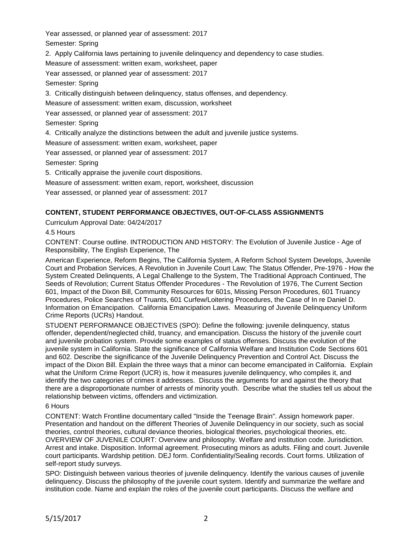Year assessed, or planned year of assessment: 2017

Semester: Spring

2. Apply California laws pertaining to juvenile delinquency and dependency to case studies.

Measure of assessment: written exam, worksheet, paper

Year assessed, or planned year of assessment: 2017

Semester: Spring

3. Critically distinguish between delinquency, status offenses, and dependency.

Measure of assessment: written exam, discussion, worksheet

Year assessed, or planned year of assessment: 2017

Semester: Spring

4. Critically analyze the distinctions between the adult and juvenile justice systems.

Measure of assessment: written exam, worksheet, paper

Year assessed, or planned year of assessment: 2017

Semester: Spring

5. Critically appraise the juvenile court dispositions.

Measure of assessment: written exam, report, worksheet, discussion

Year assessed, or planned year of assessment: 2017

# **CONTENT, STUDENT PERFORMANCE OBJECTIVES, OUT-OF-CLASS ASSIGNMENTS**

Curriculum Approval Date: 04/24/2017

4.5 Hours

CONTENT: Course outline. INTRODUCTION AND HISTORY: The Evolution of Juvenile Justice - Age of Responsibility, The English Experience, The

American Experience, Reform Begins, The California System, A Reform School System Develops, Juvenile Court and Probation Services, A Revolution in Juvenile Court Law; The Status Offender, Pre-1976 - How the System Created Delinquents, A Legal Challenge to the System, The Traditional Approach Continued, The Seeds of Revolution; Current Status Offender Procedures - The Revolution of 1976, The Current Section 601, Impact of the Dixon Bill, Community Resources for 601s, Missing Person Procedures, 601 Truancy Procedures, Police Searches of Truants, 601 Curfew/Loitering Procedures, the Case of In re Daniel D. Information on Emancipation. California Emancipation Laws. Measuring of Juvenile Delinquency Uniform Crime Reports (UCRs) Handout.

STUDENT PERFORMANCE OBJECTIVES (SPO): Define the following: juvenile delinquency, status offender, dependent/neglected child, truancy, and emancipation. Discuss the history of the juvenile court and juvenile probation system. Provide some examples of status offenses. Discuss the evolution of the juvenile system in California. State the significance of California Welfare and Institution Code Sections 601 and 602. Describe the significance of the Juvenile Delinquency Prevention and Control Act. Discuss the impact of the Dixon Bill. Explain the three ways that a minor can become emancipated in California. Explain what the Uniform Crime Report (UCR) is, how it measures juvenile delinquency, who compiles it, and identify the two categories of crimes it addresses. Discuss the arguments for and against the theory that there are a disproportionate number of arrests of minority youth. Describe what the studies tell us about the relationship between victims, offenders and victimization.

# 6 Hours

CONTENT: Watch Frontline documentary called "Inside the Teenage Brain". Assign homework paper. Presentation and handout on the different Theories of Juvenile Delinquency in our society, such as social theories, control theories, cultural deviance theories, biological theories, psychological theories, etc. OVERVIEW OF JUVENILE COURT: Overview and philosophy. Welfare and institution code. Jurisdiction. Arrest and intake. Disposition. Informal agreement. Prosecuting minors as adults. Filing and court. Juvenile court participants. Wardship petition. DEJ form. Confidentiality/Sealing records. Court forms. Utilization of self-report study surveys.

SPO: Distinguish between various theories of juvenile delinquency. Identify the various causes of juvenile delinquency. Discuss the philosophy of the juvenile court system. Identify and summarize the welfare and institution code. Name and explain the roles of the juvenile court participants. Discuss the welfare and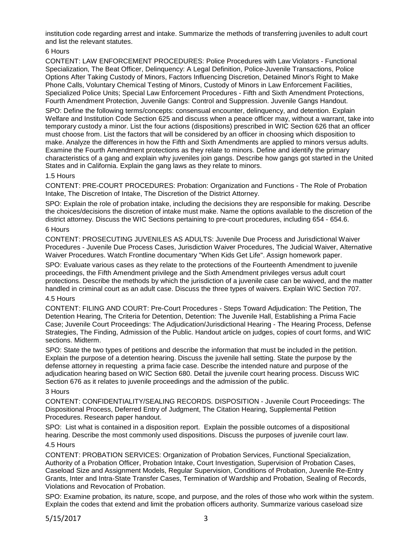institution code regarding arrest and intake. Summarize the methods of transferring juveniles to adult court and list the relevant statutes.

# 6 Hours

CONTENT: LAW ENFORCEMENT PROCEDURES: Police Procedures with Law Violators - Functional Specialization, The Beat Officer, Delinquency: A Legal Definition, Police-Juvenile Transactions, Police Options After Taking Custody of Minors, Factors Influencing Discretion, Detained Minor's Right to Make Phone Calls, Voluntary Chemical Testing of Minors, Custody of Minors in Law Enforcement Facilities, Specialized Police Units; Special Law Enforcement Procedures - Fifth and Sixth Amendment Protections, Fourth Amendment Protection, Juvenile Gangs: Control and Suppression. Juvenile Gangs Handout.

SPO: Define the following terms/concepts: consensual encounter, delinquency, and detention. Explain Welfare and Institution Code Section 625 and discuss when a peace officer may, without a warrant, take into temporary custody a minor. List the four actions (dispositions) prescribed in WIC Section 626 that an officer must choose from. List the factors that will be considered by an officer in choosing which disposition to make. Analyze the differences in how the Fifth and Sixth Amendments are applied to minors versus adults. Examine the Fourth Amendment protections as they relate to minors. Define and identify the primary characteristics of a gang and explain why juveniles join gangs. Describe how gangs got started in the United States and in California. Explain the gang laws as they relate to minors.

#### 1.5 Hours

CONTENT: PRE-COURT PROCEDURES: Probation: Organization and Functions - The Role of Probation Intake, The Discretion of Intake, The Discretion of the District Attorney.

SPO: Explain the role of probation intake, including the decisions they are responsible for making. Describe the choices/decisions the discretion of intake must make. Name the options available to the discretion of the district attorney. Discuss the WIC Sections pertaining to pre-court procedures, including 654 - 654.6.

### 6 Hours

CONTENT: PROSECUTING JUVENILES AS ADULTS: Juvenile Due Process and Jurisdictional Waiver Procedures - Juvenile Due Process Cases, Jurisdiction Waiver Procedures, The Judicial Waiver, Alternative Waiver Procedures. Watch Frontline documentary "When Kids Get Life". Assign homework paper.

SPO: Evaluate various cases as they relate to the protections of the Fourteenth Amendment to juvenile proceedings, the Fifth Amendment privilege and the Sixth Amendment privileges versus adult court protections. Describe the methods by which the jurisdiction of a juvenile case can be waived, and the matter handled in criminal court as an adult case. Discuss the three types of waivers. Explain WIC Section 707.

### 4.5 Hours

CONTENT: FILING AND COURT: Pre-Court Procedures - Steps Toward Adjudication: The Petition, The Detention Hearing, The Criteria for Detention, Detention: The Juvenile Hall, Establishing a Prima Facie Case; Juvenile Court Proceedings: The Adjudication/Jurisdictional Hearing - The Hearing Process, Defense Strategies, The Finding, Admission of the Public. Handout article on judges, copies of court forms, and WIC sections. Midterm.

SPO: State the two types of petitions and describe the information that must be included in the petition. Explain the purpose of a detention hearing. Discuss the juvenile hall setting. State the purpose by the defense attorney in requesting a prima facie case. Describe the intended nature and purpose of the adjudication hearing based on WIC Section 680. Detail the juvenile court hearing process. Discuss WIC Section 676 as it relates to juvenile proceedings and the admission of the public.

#### 3 Hours

CONTENT: CONFIDENTIALITY/SEALING RECORDS. DISPOSITION - Juvenile Court Proceedings: The Dispositional Process, Deferred Entry of Judgment, The Citation Hearing, Supplemental Petition Procedures. Research paper handout.

SPO: List what is contained in a disposition report. Explain the possible outcomes of a dispositional hearing. Describe the most commonly used dispositions. Discuss the purposes of juvenile court law.

### 4.5 Hours

CONTENT: PROBATION SERVICES: Organization of Probation Services, Functional Specialization, Authority of a Probation Officer, Probation Intake, Court Investigation, Supervision of Probation Cases, Caseload Size and Assignment Models, Regular Supervision, Conditions of Probation, Juvenile Re-Entry Grants, Inter and Intra-State Transfer Cases, Termination of Wardship and Probation, Sealing of Records, Violations and Revocation of Probation.

SPO: Examine probation, its nature, scope, and purpose, and the roles of those who work within the system. Explain the codes that extend and limit the probation officers authority. Summarize various caseload size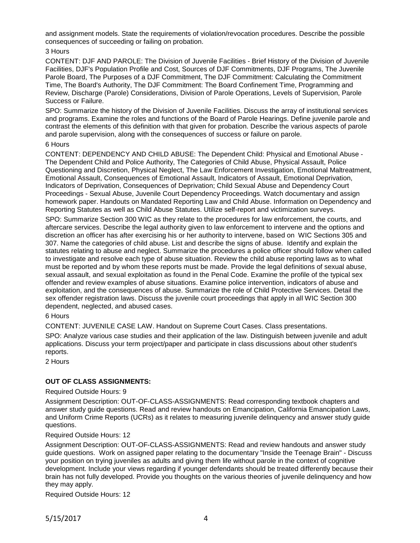and assignment models. State the requirements of violation/revocation procedures. Describe the possible consequences of succeeding or failing on probation.

### 3 Hours

CONTENT: DJF AND PAROLE: The Division of Juvenile Facilities - Brief History of the Division of Juvenile Facilities, DJF's Population Profile and Cost, Sources of DJF Commitments, DJF Programs, The Juvenile Parole Board, The Purposes of a DJF Commitment, The DJF Commitment: Calculating the Commitment Time, The Board's Authority, The DJF Commitment: The Board Confinement Time, Programming and Review, Discharge (Parole) Considerations, Division of Parole Operations, Levels of Supervision, Parole Success or Failure.

SPO: Summarize the history of the Division of Juvenile Facilities. Discuss the array of institutional services and programs. Examine the roles and functions of the Board of Parole Hearings. Define juvenile parole and contrast the elements of this definition with that given for probation. Describe the various aspects of parole and parole supervision, along with the consequences of success or failure on parole.

#### 6 Hours

CONTENT: DEPENDENCY AND CHILD ABUSE: The Dependent Child: Physical and Emotional Abuse - The Dependent Child and Police Authority, The Categories of Child Abuse, Physical Assault, Police Questioning and Discretion, Physical Neglect, The Law Enforcement Investigation, Emotional Maltreatment, Emotional Assault, Consequences of Emotional Assault, Indicators of Assault, Emotional Deprivation, Indicators of Deprivation, Consequences of Deprivation; Child Sexual Abuse and Dependency Court Proceedings - Sexual Abuse, Juvenile Court Dependency Proceedings. Watch documentary and assign homework paper. Handouts on Mandated Reporting Law and Child Abuse. Information on Dependency and Reporting Statutes as well as Child Abuse Statutes. Utilize self-report and victimization surveys.

SPO: Summarize Section 300 WIC as they relate to the procedures for law enforcement, the courts, and aftercare services. Describe the legal authority given to law enforcement to intervene and the options and discretion an officer has after exercising his or her authority to intervene, based on WIC Sections 305 and 307. Name the categories of child abuse. List and describe the signs of abuse. Identify and explain the statutes relating to abuse and neglect. Summarize the procedures a police officer should follow when called to investigate and resolve each type of abuse situation. Review the child abuse reporting laws as to what must be reported and by whom these reports must be made. Provide the legal definitions of sexual abuse, sexual assault, and sexual exploitation as found in the Penal Code. Examine the profile of the typical sex offender and review examples of abuse situations. Examine police intervention, indicators of abuse and exploitation, and the consequences of abuse. Summarize the role of Child Protective Services. Detail the sex offender registration laws. Discuss the juvenile court proceedings that apply in all WIC Section 300 dependent, neglected, and abused cases.

# 6 Hours

CONTENT: JUVENILE CASE LAW. Handout on Supreme Court Cases. Class presentations.

SPO: Analyze various case studies and their application of the law. Distinguish between juvenile and adult applications. Discuss your term project/paper and participate in class discussions about other student's reports.

2 Hours

# **OUT OF CLASS ASSIGNMENTS:**

#### Required Outside Hours: 9

Assignment Description: OUT-OF-CLASS-ASSIGNMENTS: Read corresponding textbook chapters and answer study guide questions. Read and review handouts on Emancipation, California Emancipation Laws, and Uniform Crime Reports (UCRs) as it relates to measuring juvenile delinquency and answer study guide questions.

#### Required Outside Hours: 12

Assignment Description: OUT-OF-CLASS-ASSIGNMENTS: Read and review handouts and answer study guide questions. Work on assigned paper relating to the documentary "Inside the Teenage Brain" - Discuss your position on trying juveniles as adults and giving them life without parole in the context of cognitive development. Include your views regarding if younger defendants should be treated differently because their brain has not fully developed. Provide you thoughts on the various theories of juvenile delinquency and how they may apply.

Required Outside Hours: 12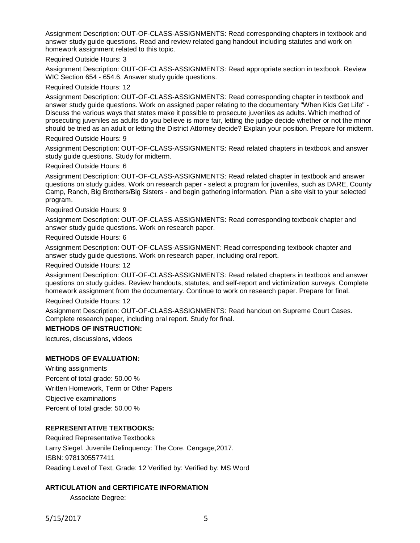Assignment Description: OUT-OF-CLASS-ASSIGNMENTS: Read corresponding chapters in textbook and answer study guide questions. Read and review related gang handout including statutes and work on homework assignment related to this topic.

Required Outside Hours: 3

Assignment Description: OUT-OF-CLASS-ASSIGNMENTS: Read appropriate section in textbook. Review WIC Section 654 - 654.6. Answer study guide questions.

Required Outside Hours: 12

Assignment Description: OUT-OF-CLASS-ASSIGNMENTS: Read corresponding chapter in textbook and answer study guide questions. Work on assigned paper relating to the documentary "When Kids Get Life" - Discuss the various ways that states make it possible to prosecute juveniles as adults. Which method of prosecuting juveniles as adults do you believe is more fair, letting the judge decide whether or not the minor should be tried as an adult or letting the District Attorney decide? Explain your position. Prepare for midterm.

Required Outside Hours: 9

Assignment Description: OUT-OF-CLASS-ASSIGNMENTS: Read related chapters in textbook and answer study guide questions. Study for midterm.

Required Outside Hours: 6

Assignment Description: OUT-OF-CLASS-ASSIGNMENTS: Read related chapter in textbook and answer questions on study guides. Work on research paper - select a program for juveniles, such as DARE, County Camp, Ranch, Big Brothers/Big Sisters - and begin gathering information. Plan a site visit to your selected program.

Required Outside Hours: 9

Assignment Description: OUT-OF-CLASS-ASSIGNMENTS: Read corresponding textbook chapter and answer study guide questions. Work on research paper.

Required Outside Hours: 6

Assignment Description: OUT-OF-CLASS-ASSIGNMENT: Read corresponding textbook chapter and answer study guide questions. Work on research paper, including oral report.

Required Outside Hours: 12

Assignment Description: OUT-OF-CLASS-ASSIGNMENTS: Read related chapters in textbook and answer questions on study guides. Review handouts, statutes, and self-report and victimization surveys. Complete homework assignment from the documentary. Continue to work on research paper. Prepare for final.

Required Outside Hours: 12

Assignment Description: OUT-OF-CLASS-ASSIGNMENTS: Read handout on Supreme Court Cases. Complete research paper, including oral report. Study for final.

# **METHODS OF INSTRUCTION:**

lectures, discussions, videos

# **METHODS OF EVALUATION:**

Writing assignments Percent of total grade: 50.00 % Written Homework, Term or Other Papers Objective examinations Percent of total grade: 50.00 %

# **REPRESENTATIVE TEXTBOOKS:**

Required Representative Textbooks Larry Siegel. Juvenile Delinquency: The Core. Cengage,2017. ISBN: 9781305577411 Reading Level of Text, Grade: 12 Verified by: Verified by: MS Word

# **ARTICULATION and CERTIFICATE INFORMATION**

Associate Degree: